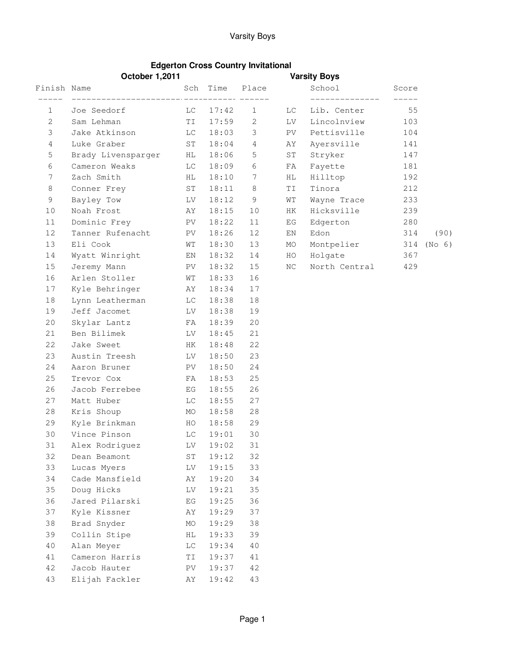## Varsity Boys

## **Edgerton Cross Country Invitational**

|                | <b>October 1,2011</b>   |            |            |                | <b>Varsity Boys</b>                 |                               |                |        |
|----------------|-------------------------|------------|------------|----------------|-------------------------------------|-------------------------------|----------------|--------|
| Finish Name    |                         |            | Sch Time   | Place          |                                     | School                        | Score          |        |
| 1              | Joe Seedorf             | LC         | 17:42      | $\mathbf{1}$   | LC.                                 | ______________<br>Lib. Center | $------$<br>55 |        |
| $\overline{2}$ | Sam Lehman              |            | TI 17:59   | 2              | LV                                  | Lincolnview                   | 103            |        |
| 3              | Jake Atkinson           |            | $LC$ 18:03 | 3              | PV                                  | Pettisville                   | 104            |        |
| 4              | Luke Graber             | ST         | 18:04      | $\overline{4}$ | AΥ                                  | Ayersville                    | 141            |        |
| 5              | Brady Livensparger      | HL         | 18:06      | 5              | $\mbox{S}\,\ensuremath{\mathrm{T}}$ | Stryker                       | 147            |        |
| 6              | Cameron Weaks           | LC         | 18:09      | 6              | FA                                  | Fayette                       | 181            |        |
| 7              | Zach Smith              | HL         | 18:10      | 7              | HL.                                 | Hilltop                       | 192            |        |
| 8              | Conner Frey             | ST         | 18:11      | 8              | TI                                  | Tinora                        | 212            |        |
| 9              | Bayley Tow              | LV         | 18:12      | 9              | WΤ                                  | Wayne Trace                   | 233            |        |
| 10             | Noah Frost              | AY         | 18:15      | 10             | HK                                  | Hicksville                    | 239            |        |
| 11             | Dominic Frey            | PV         | 18:22      | 11             | EG                                  | Edgerton                      | 280            |        |
| 12             | Tanner Rufenacht        | PV         | 18:26      | 12             | ΕN                                  | Edon                          | 314            | (90)   |
| 13             | Eli Cook                | WT         | 18:30      | 13             | MO                                  | Montpelier                    | 314            | (No 6) |
| 14             | Wyatt Winright          | EN         | 18:32      | 14             | HO                                  | Holgate                       | 367            |        |
| 15             | Jeremy Mann             | PV         | 18:32      | 15             | ΝC                                  | North Central                 | 429            |        |
| 16             | Arlen Stoller           | WT         | 18:33      | 16             |                                     |                               |                |        |
| 17             | Kyle Behringer          | AY         | 18:34      | 17             |                                     |                               |                |        |
| 18             | Lynn Leatherman         |            | $LC$ 18:38 | 18             |                                     |                               |                |        |
| 19             | Jeff Jacomet            | LV         | 18:38      | 19             |                                     |                               |                |        |
| 20             | Skylar Lantz            | FA         | 18:39      | 20             |                                     |                               |                |        |
| 21             | Ben Bilimek             | LV         | 18:45      | 21             |                                     |                               |                |        |
| 22             | Jake Sweet              | HK         | 18:48      | 22             |                                     |                               |                |        |
| 23             | Austin Treesh           | LV.        | 18:50      | 23             |                                     |                               |                |        |
| 24             | Aaron Bruner            | PV.        | 18:50      | 24             |                                     |                               |                |        |
| 25             | Trevor Cox              | FA         | 18:53      | 25             |                                     |                               |                |        |
| 26             | Jacob Ferrebee          | EG         | 18:55      | 26             |                                     |                               |                |        |
| 27             | Matt Huber              | LC.        | 18:55      | 27             |                                     |                               |                |        |
| 28             | Kris Shoup              | MO         | 18:58      | 28             |                                     |                               |                |        |
| 29             | Kyle Brinkman           | HO         | 18:58      | 29             |                                     |                               |                |        |
| 30             | Vince Pinson            | LC         | 19:01      | 30             |                                     |                               |                |        |
| 31             | Alex Rodriguez LV 19:02 |            |            | 31             |                                     |                               |                |        |
| 32             | Dean Beamont            | ${\tt ST}$ | 19:12      | 32             |                                     |                               |                |        |
| 33             | Lucas Myers             | LV         | 19:15      | 33             |                                     |                               |                |        |
| 34             | Cade Mansfield          | ΆY         | 19:20      | 34             |                                     |                               |                |        |
| 35             | Doug Hicks              | LV         | 19:21      | 35             |                                     |                               |                |        |
| 36             | Jared Pilarski          | ΕG         | 19:25      | 36             |                                     |                               |                |        |
| 37             | Kyle Kissner            | AΥ         | 19:29      | 37             |                                     |                               |                |        |
| 38             | Brad Snyder             | МO         | 19:29      | 38             |                                     |                               |                |        |
| 39             | Collin Stipe            | ΗL         | 19:33      | 39             |                                     |                               |                |        |
| 40             | Alan Meyer              | LC         | 19:34      | 40             |                                     |                               |                |        |
| 41             | Cameron Harris          | ΤI         | 19:37      | 41             |                                     |                               |                |        |
| 42             | Jacob Hauter            | PV         | 19:37      | 42             |                                     |                               |                |        |
| 43             | Elijah Fackler          | AΥ         | 19:42      | 43             |                                     |                               |                |        |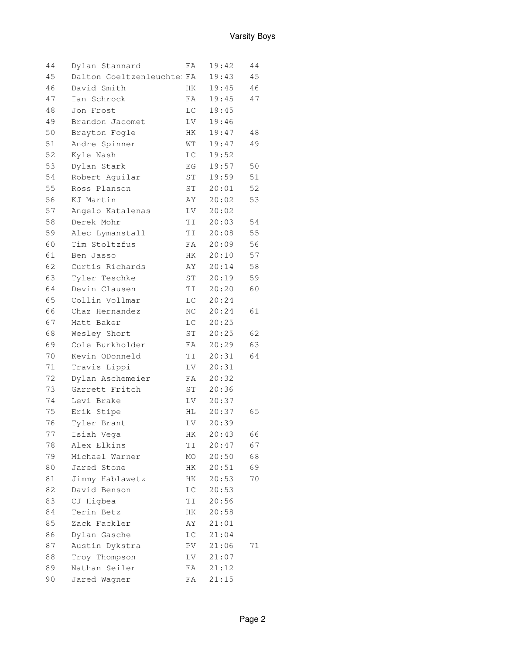| 44 | Dylan Stannard             | FΑ                                                                                                                                                                                                                             | 19:42 | 44 |
|----|----------------------------|--------------------------------------------------------------------------------------------------------------------------------------------------------------------------------------------------------------------------------|-------|----|
| 45 | Dalton Goeltzenleuchte: FA |                                                                                                                                                                                                                                | 19:43 | 45 |
| 46 | David Smith                | HK                                                                                                                                                                                                                             | 19:45 | 46 |
| 47 | Ian Schrock                | FA                                                                                                                                                                                                                             | 19:45 | 47 |
| 48 | Jon Frost                  | LC                                                                                                                                                                                                                             | 19:45 |    |
| 49 | Brandon Jacomet            | LV                                                                                                                                                                                                                             | 19:46 |    |
| 50 | Brayton Fogle              | HK                                                                                                                                                                                                                             | 19:47 | 48 |
| 51 | Andre Spinner              | WT                                                                                                                                                                                                                             | 19:47 | 49 |
| 52 | Kyle Nash                  | LC                                                                                                                                                                                                                             | 19:52 |    |
| 53 | Dylan Stark                | EG                                                                                                                                                                                                                             | 19:57 | 50 |
| 54 | Robert Aguilar             | ST                                                                                                                                                                                                                             | 19:59 | 51 |
| 55 | Ross Planson               | ST                                                                                                                                                                                                                             | 20:01 | 52 |
| 56 | KJ Martin                  | AY                                                                                                                                                                                                                             | 20:02 | 53 |
| 57 | Angelo Katalenas           | LV                                                                                                                                                                                                                             | 20:02 |    |
| 58 | Derek Mohr                 | TI I                                                                                                                                                                                                                           | 20:03 | 54 |
| 59 | Alec Lymanstall            | <b>TI</b>                                                                                                                                                                                                                      | 20:08 | 55 |
| 60 | Tim Stoltzfus              | FA                                                                                                                                                                                                                             | 20:09 | 56 |
| 61 | Ben Jasso                  | HK —                                                                                                                                                                                                                           | 20:10 | 57 |
| 62 | Curtis Richards            | AY                                                                                                                                                                                                                             | 20:14 | 58 |
| 63 | Tyler Teschke              | ST                                                                                                                                                                                                                             | 20:19 | 59 |
| 64 | Devin Clausen              | TI I                                                                                                                                                                                                                           | 20:20 | 60 |
| 65 | Collin Vollmar             | LC                                                                                                                                                                                                                             | 20:24 |    |
| 66 | Chaz Hernandez             | NC                                                                                                                                                                                                                             | 20:24 | 61 |
| 67 | Matt Baker                 | LC                                                                                                                                                                                                                             | 20:25 |    |
| 68 | Wesley Short               | ST                                                                                                                                                                                                                             | 20:25 | 62 |
| 69 | Cole Burkholder            | FA                                                                                                                                                                                                                             | 20:29 | 63 |
| 70 | Kevin ODonneld             | <b>TI</b>                                                                                                                                                                                                                      | 20:31 | 64 |
| 71 | Travis Lippi               | LV                                                                                                                                                                                                                             | 20:31 |    |
| 72 | Dylan Aschemeier           | FA                                                                                                                                                                                                                             | 20:32 |    |
| 73 | Garrett Fritch             | ST                                                                                                                                                                                                                             | 20:36 |    |
| 74 | Levi Brake                 | LV                                                                                                                                                                                                                             | 20:37 |    |
| 75 | Erik Stipe                 | HL and the set of the set of the set of the set of the set of the set of the set of the set of the set of the set of the set of the set of the set of the set of the set of the set of the set of the set of the set of the se | 20:37 | 65 |
| 76 | Tyler Brant                | LV                                                                                                                                                                                                                             | 20:39 |    |
| 77 | Isiah Vega                 | ΗK                                                                                                                                                                                                                             | 20:43 | 66 |
| 78 | Alex Elkins                | ΤI                                                                                                                                                                                                                             | 20:47 | 67 |
| 79 | Michael Warner             | МO                                                                                                                                                                                                                             | 20:50 | 68 |
| 80 | Jared Stone                | HК                                                                                                                                                                                                                             | 20:51 | 69 |
| 81 | Jimmy Hablawetz            | HК                                                                                                                                                                                                                             | 20:53 | 70 |
| 82 | David Benson               | LС                                                                                                                                                                                                                             | 20:53 |    |
| 83 | CJ Higbea                  | ΤI                                                                                                                                                                                                                             | 20:56 |    |
| 84 | Terin Betz                 | HК                                                                                                                                                                                                                             | 20:58 |    |
| 85 | Zack Fackler               | AY                                                                                                                                                                                                                             | 21:01 |    |
| 86 | Dylan Gasche               | LС                                                                                                                                                                                                                             | 21:04 |    |
| 87 | Austin Dykstra             | PV                                                                                                                                                                                                                             | 21:06 | 71 |
| 88 | Troy Thompson              | LV                                                                                                                                                                                                                             | 21:07 |    |
| 89 | Nathan Seiler              | FΑ                                                                                                                                                                                                                             | 21:12 |    |
| 90 | Jared Wagner               | FA                                                                                                                                                                                                                             | 21:15 |    |